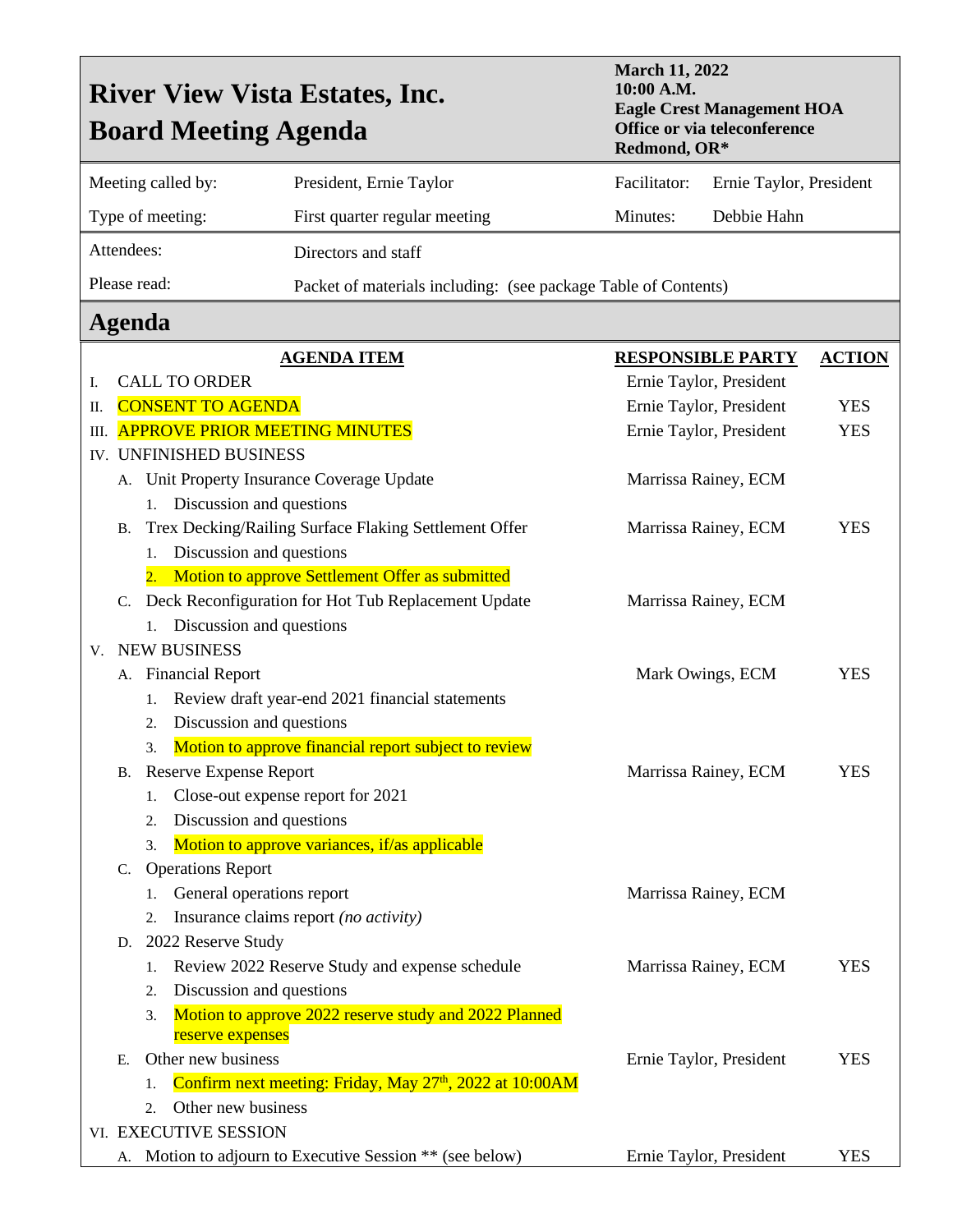| <b>March 11, 2022</b><br>10:00 A.M.<br><b>River View Vista Estates, Inc.</b><br><b>Board Meeting Agenda</b><br>Redmond, OR* |                                                                                                                                  |                          |                                                                      |                          | <b>Eagle Crest Management HOA</b><br>Office or via teleconference |               |
|-----------------------------------------------------------------------------------------------------------------------------|----------------------------------------------------------------------------------------------------------------------------------|--------------------------|----------------------------------------------------------------------|--------------------------|-------------------------------------------------------------------|---------------|
| Meeting called by:                                                                                                          |                                                                                                                                  |                          | President, Ernie Taylor                                              | Facilitator:             | Ernie Taylor, President                                           |               |
| Type of meeting:                                                                                                            |                                                                                                                                  |                          | First quarter regular meeting                                        | Minutes:                 | Debbie Hahn                                                       |               |
| Attendees:                                                                                                                  |                                                                                                                                  |                          | Directors and staff                                                  |                          |                                                                   |               |
| Please read:                                                                                                                |                                                                                                                                  |                          | Packet of materials including: (see package Table of Contents)       |                          |                                                                   |               |
|                                                                                                                             |                                                                                                                                  | Agenda                   |                                                                      |                          |                                                                   |               |
|                                                                                                                             | <b>AGENDA ITEM</b>                                                                                                               |                          |                                                                      | <b>RESPONSIBLE PARTY</b> |                                                                   | <b>ACTION</b> |
| I.                                                                                                                          | <b>CALL TO ORDER</b>                                                                                                             |                          |                                                                      | Ernie Taylor, President  |                                                                   |               |
| П.                                                                                                                          |                                                                                                                                  | <b>CONSENT TO AGENDA</b> |                                                                      | Ernie Taylor, President  |                                                                   | <b>YES</b>    |
| Ш.                                                                                                                          |                                                                                                                                  |                          | <b>APPROVE PRIOR MEETING MINUTES</b><br>Ernie Taylor, President      |                          |                                                                   |               |
|                                                                                                                             | IV. UNFINISHED BUSINESS                                                                                                          |                          |                                                                      |                          |                                                                   |               |
| A. Unit Property Insurance Coverage Update                                                                                  |                                                                                                                                  |                          |                                                                      |                          | Marrissa Rainey, ECM                                              |               |
|                                                                                                                             |                                                                                                                                  | 1.                       | Discussion and questions                                             |                          |                                                                   |               |
|                                                                                                                             | В.                                                                                                                               |                          | Trex Decking/Railing Surface Flaking Settlement Offer                |                          | Marrissa Rainey, ECM                                              | <b>YES</b>    |
|                                                                                                                             |                                                                                                                                  | 1.                       | Discussion and questions                                             |                          |                                                                   |               |
| 2.                                                                                                                          |                                                                                                                                  |                          | Motion to approve Settlement Offer as submitted                      |                          |                                                                   |               |
|                                                                                                                             |                                                                                                                                  |                          | C. Deck Reconfiguration for Hot Tub Replacement Update               |                          | Marrissa Rainey, ECM                                              |               |
|                                                                                                                             | Discussion and questions<br>1.                                                                                                   |                          |                                                                      |                          |                                                                   |               |
|                                                                                                                             |                                                                                                                                  | <b>V. NEW BUSINESS</b>   |                                                                      |                          |                                                                   | <b>YES</b>    |
|                                                                                                                             |                                                                                                                                  | A. Financial Report      |                                                                      |                          | Mark Owings, ECM                                                  |               |
|                                                                                                                             |                                                                                                                                  | 1.                       | Review draft year-end 2021 financial statements                      |                          |                                                                   |               |
|                                                                                                                             | Discussion and questions<br>2.<br>Motion to approve financial report subject to review<br>3.<br><b>B.</b> Reserve Expense Report |                          |                                                                      |                          |                                                                   |               |
|                                                                                                                             |                                                                                                                                  |                          |                                                                      | Marrissa Rainey, ECM     | <b>YES</b>                                                        |               |
|                                                                                                                             |                                                                                                                                  | 1.                       | Close-out expense report for 2021                                    |                          |                                                                   |               |
|                                                                                                                             |                                                                                                                                  | 2.                       | Discussion and questions                                             |                          |                                                                   |               |
|                                                                                                                             |                                                                                                                                  | 3.                       | Motion to approve variances, if/as applicable                        |                          |                                                                   |               |
|                                                                                                                             | C.                                                                                                                               | <b>Operations Report</b> |                                                                      |                          |                                                                   |               |
|                                                                                                                             |                                                                                                                                  | 1.                       | General operations report                                            |                          | Marrissa Rainey, ECM                                              |               |
|                                                                                                                             |                                                                                                                                  | 2.                       | Insurance claims report (no activity)                                |                          |                                                                   |               |
|                                                                                                                             | D.                                                                                                                               | 2022 Reserve Study       |                                                                      |                          |                                                                   |               |
|                                                                                                                             |                                                                                                                                  | 1.                       | Review 2022 Reserve Study and expense schedule                       |                          | Marrissa Rainey, ECM                                              | <b>YES</b>    |
|                                                                                                                             |                                                                                                                                  | 2.                       | Discussion and questions                                             |                          |                                                                   |               |
|                                                                                                                             |                                                                                                                                  | 3.<br>reserve expenses   | Motion to approve 2022 reserve study and 2022 Planned                |                          |                                                                   |               |
|                                                                                                                             | Е.                                                                                                                               | Other new business       |                                                                      |                          | Ernie Taylor, President                                           |               |
|                                                                                                                             |                                                                                                                                  | 1.                       | Confirm next meeting: Friday, May 27 <sup>th</sup> , 2022 at 10:00AM |                          |                                                                   | <b>YES</b>    |
|                                                                                                                             |                                                                                                                                  | Other new business<br>2. |                                                                      |                          |                                                                   |               |
|                                                                                                                             |                                                                                                                                  | VI. EXECUTIVE SESSION    |                                                                      |                          |                                                                   |               |
|                                                                                                                             |                                                                                                                                  |                          | A. Motion to adjourn to Executive Session ** (see below)             |                          | Ernie Taylor, President                                           | YES           |